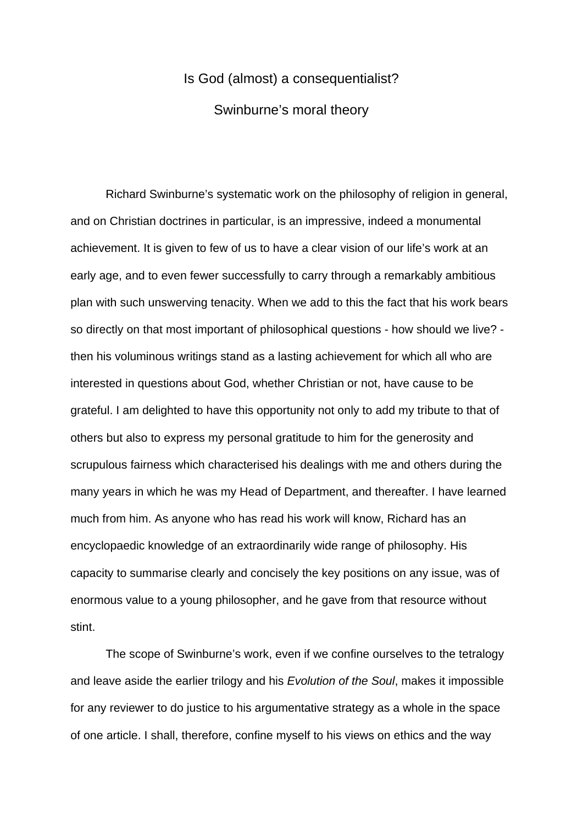## Is God (almost) a consequentialist? Swinburne's moral theory

Richard Swinburne's systematic work on the philosophy of religion in general, and on Christian doctrines in particular, is an impressive, indeed a monumental achievement. It is given to few of us to have a clear vision of our life's work at an early age, and to even fewer successfully to carry through a remarkably ambitious plan with such unswerving tenacity. When we add to this the fact that his work bears so directly on that most important of philosophical questions - how should we live? then his voluminous writings stand as a lasting achievement for which all who are interested in questions about God, whether Christian or not, have cause to be grateful. I am delighted to have this opportunity not only to add my tribute to that of others but also to express my personal gratitude to him for the generosity and scrupulous fairness which characterised his dealings with me and others during the many years in which he was my Head of Department, and thereafter. I have learned much from him. As anyone who has read his work will know, Richard has an encyclopaedic knowledge of an extraordinarily wide range of philosophy. His capacity to summarise clearly and concisely the key positions on any issue, was of enormous value to a young philosopher, and he gave from that resource without stint.

The scope of Swinburne's work, even if we confine ourselves to the tetralogy and leave aside the earlier trilogy and his *Evolution of the Soul*, makes it impossible for any reviewer to do justice to his argumentative strategy as a whole in the space of one article. I shall, therefore, confine myself to his views on ethics and the way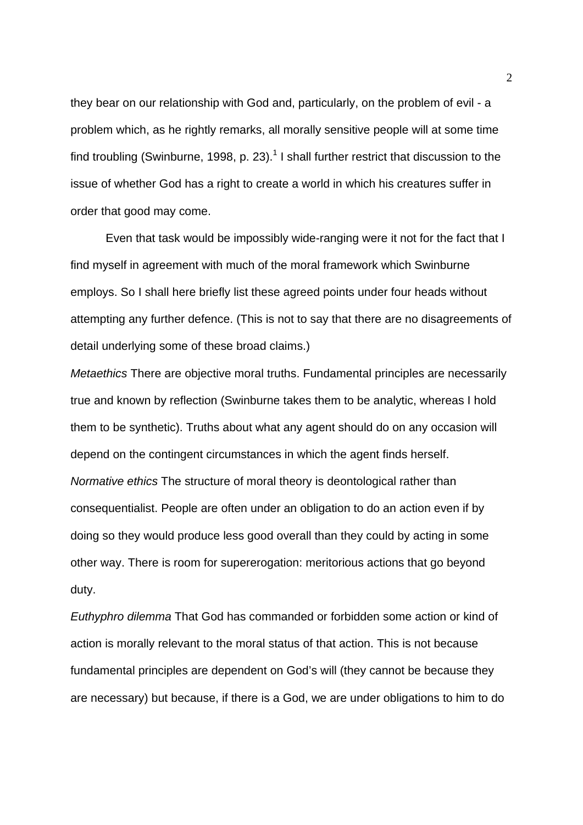they bear on our relationship with God and, particularly, on the problem of evil - a problem which, as he rightly remarks, all morally sensitive people will at some time find troubling (Swinburne, 1998, p. 23).<sup>1</sup> I shall further restrict that discussion to the issue of whether God has a right to create a world in which his creatures suffer in order that good may come.

Even that task would be impossibly wide-ranging were it not for the fact that I find myself in agreement with much of the moral framework which Swinburne employs. So I shall here briefly list these agreed points under four heads without attempting any further defence. (This is not to say that there are no disagreements of detail underlying some of these broad claims.)

*Metaethics* There are objective moral truths. Fundamental principles are necessarily true and known by reflection (Swinburne takes them to be analytic, whereas I hold them to be synthetic). Truths about what any agent should do on any occasion will depend on the contingent circumstances in which the agent finds herself. *Normative ethics* The structure of moral theory is deontological rather than consequentialist. People are often under an obligation to do an action even if by doing so they would produce less good overall than they could by acting in some other way. There is room for supererogation: meritorious actions that go beyond duty.

*Euthyphro dilemma* That God has commanded or forbidden some action or kind of action is morally relevant to the moral status of that action. This is not because fundamental principles are dependent on God's will (they cannot be because they are necessary) but because, if there is a God, we are under obligations to him to do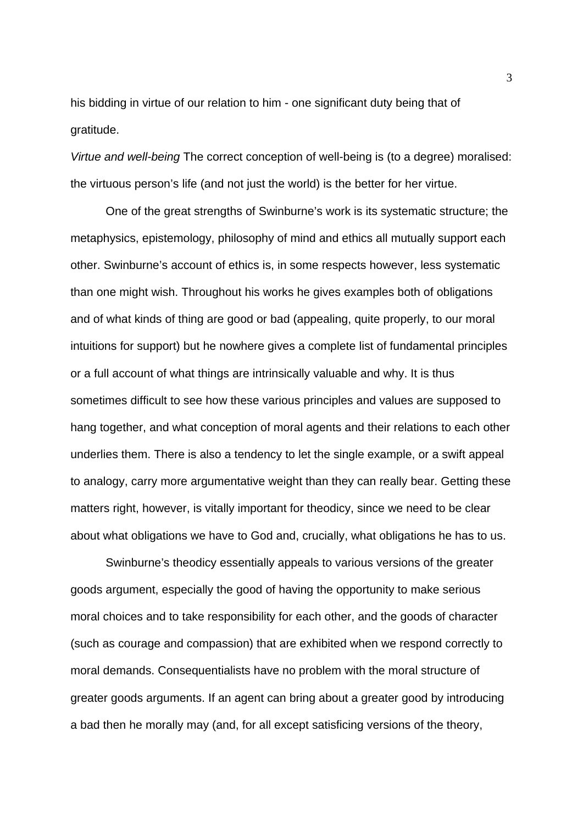his bidding in virtue of our relation to him - one significant duty being that of gratitude.

*Virtue and well-being* The correct conception of well-being is (to a degree) moralised: the virtuous person's life (and not just the world) is the better for her virtue.

One of the great strengths of Swinburne's work is its systematic structure; the metaphysics, epistemology, philosophy of mind and ethics all mutually support each other. Swinburne's account of ethics is, in some respects however, less systematic than one might wish. Throughout his works he gives examples both of obligations and of what kinds of thing are good or bad (appealing, quite properly, to our moral intuitions for support) but he nowhere gives a complete list of fundamental principles or a full account of what things are intrinsically valuable and why. It is thus sometimes difficult to see how these various principles and values are supposed to hang together, and what conception of moral agents and their relations to each other underlies them. There is also a tendency to let the single example, or a swift appeal to analogy, carry more argumentative weight than they can really bear. Getting these matters right, however, is vitally important for theodicy, since we need to be clear about what obligations we have to God and, crucially, what obligations he has to us.

Swinburne's theodicy essentially appeals to various versions of the greater goods argument, especially the good of having the opportunity to make serious moral choices and to take responsibility for each other, and the goods of character (such as courage and compassion) that are exhibited when we respond correctly to moral demands. Consequentialists have no problem with the moral structure of greater goods arguments. If an agent can bring about a greater good by introducing a bad then he morally may (and, for all except satisficing versions of the theory,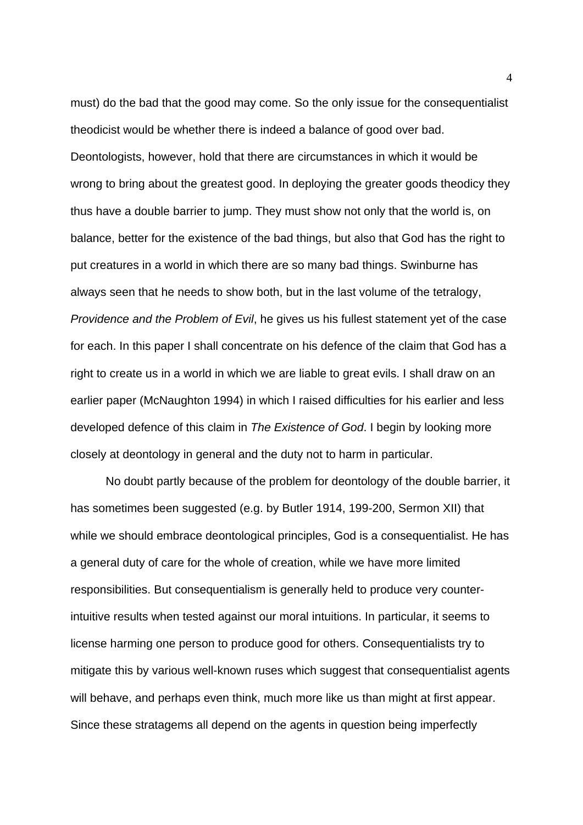must) do the bad that the good may come. So the only issue for the consequentialist theodicist would be whether there is indeed a balance of good over bad. Deontologists, however, hold that there are circumstances in which it would be wrong to bring about the greatest good. In deploying the greater goods theodicy they thus have a double barrier to jump. They must show not only that the world is, on balance, better for the existence of the bad things, but also that God has the right to put creatures in a world in which there are so many bad things. Swinburne has always seen that he needs to show both, but in the last volume of the tetralogy, *Providence and the Problem of Evil*, he gives us his fullest statement yet of the case for each. In this paper I shall concentrate on his defence of the claim that God has a right to create us in a world in which we are liable to great evils. I shall draw on an earlier paper (McNaughton 1994) in which I raised difficulties for his earlier and less developed defence of this claim in *The Existence of God*. I begin by looking more closely at deontology in general and the duty not to harm in particular.

No doubt partly because of the problem for deontology of the double barrier, it has sometimes been suggested (e.g. by Butler 1914, 199-200, Sermon XII) that while we should embrace deontological principles, God is a consequentialist. He has a general duty of care for the whole of creation, while we have more limited responsibilities. But consequentialism is generally held to produce very counterintuitive results when tested against our moral intuitions. In particular, it seems to license harming one person to produce good for others. Consequentialists try to mitigate this by various well-known ruses which suggest that consequentialist agents will behave, and perhaps even think, much more like us than might at first appear. Since these stratagems all depend on the agents in question being imperfectly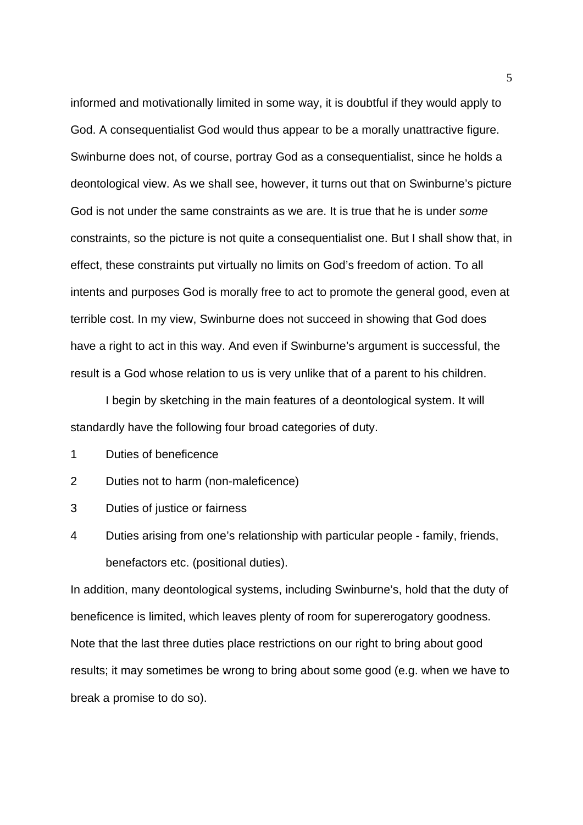informed and motivationally limited in some way, it is doubtful if they would apply to God. A consequentialist God would thus appear to be a morally unattractive figure. Swinburne does not, of course, portray God as a consequentialist, since he holds a deontological view. As we shall see, however, it turns out that on Swinburne's picture God is not under the same constraints as we are. It is true that he is under *some* constraints, so the picture is not quite a consequentialist one. But I shall show that, in effect, these constraints put virtually no limits on God's freedom of action. To all intents and purposes God is morally free to act to promote the general good, even at terrible cost. In my view, Swinburne does not succeed in showing that God does have a right to act in this way. And even if Swinburne's argument is successful, the result is a God whose relation to us is very unlike that of a parent to his children.

I begin by sketching in the main features of a deontological system. It will standardly have the following four broad categories of duty.

1 Duties of beneficence

2 Duties not to harm (non-maleficence)

3 Duties of justice or fairness

4 Duties arising from one's relationship with particular people - family, friends, benefactors etc. (positional duties).

In addition, many deontological systems, including Swinburne's, hold that the duty of beneficence is limited, which leaves plenty of room for supererogatory goodness. Note that the last three duties place restrictions on our right to bring about good results; it may sometimes be wrong to bring about some good (e.g. when we have to break a promise to do so).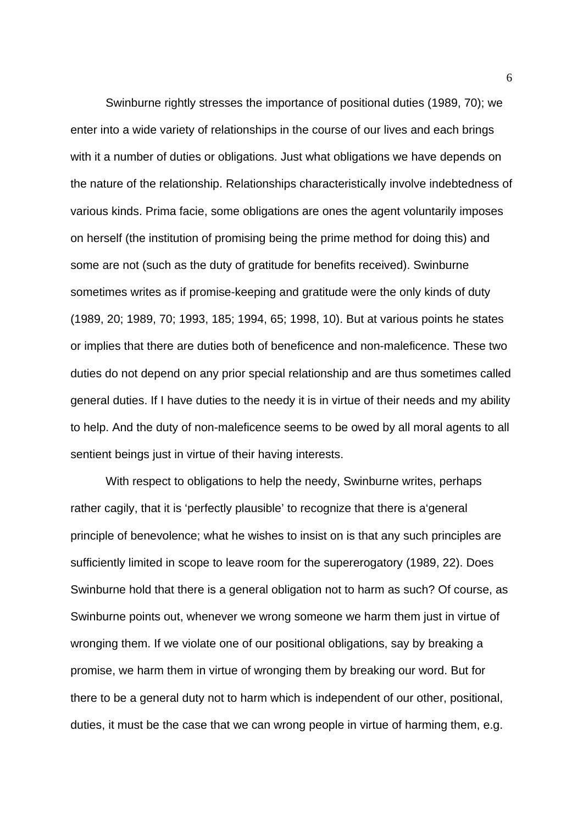Swinburne rightly stresses the importance of positional duties (1989, 70); we enter into a wide variety of relationships in the course of our lives and each brings with it a number of duties or obligations. Just what obligations we have depends on the nature of the relationship. Relationships characteristically involve indebtedness of various kinds. Prima facie, some obligations are ones the agent voluntarily imposes on herself (the institution of promising being the prime method for doing this) and some are not (such as the duty of gratitude for benefits received). Swinburne sometimes writes as if promise-keeping and gratitude were the only kinds of duty (1989, 20; 1989, 70; 1993, 185; 1994, 65; 1998, 10). But at various points he states or implies that there are duties both of beneficence and non-maleficence. These two duties do not depend on any prior special relationship and are thus sometimes called general duties. If I have duties to the needy it is in virtue of their needs and my ability to help. And the duty of non-maleficence seems to be owed by all moral agents to all sentient beings just in virtue of their having interests.

With respect to obligations to help the needy, Swinburne writes, perhaps rather cagily, that it is 'perfectly plausible' to recognize that there is a'general principle of benevolence; what he wishes to insist on is that any such principles are sufficiently limited in scope to leave room for the supererogatory (1989, 22). Does Swinburne hold that there is a general obligation not to harm as such? Of course, as Swinburne points out, whenever we wrong someone we harm them just in virtue of wronging them. If we violate one of our positional obligations, say by breaking a promise, we harm them in virtue of wronging them by breaking our word. But for there to be a general duty not to harm which is independent of our other, positional, duties, it must be the case that we can wrong people in virtue of harming them, e.g.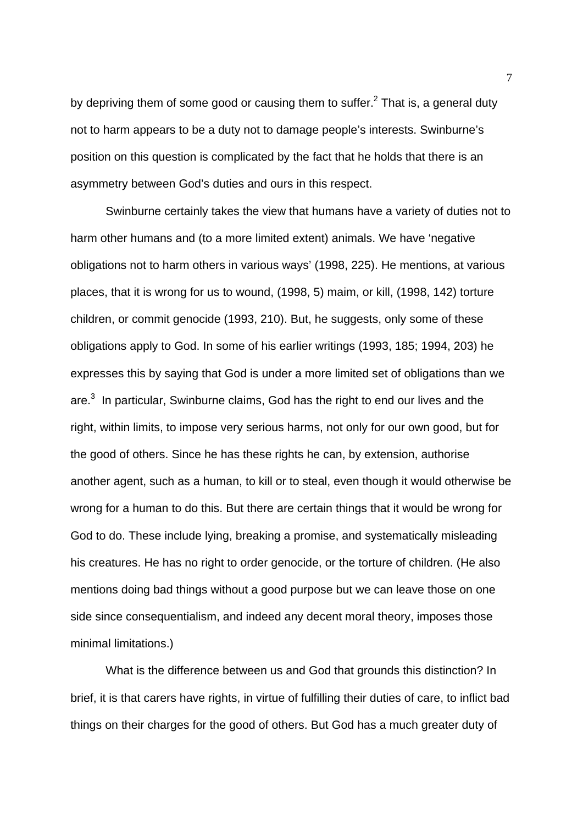by depriving them of some good or causing them to suffer. $^2$  That is, a general duty not to harm appears to be a duty not to damage people's interests. Swinburne's position on this question is complicated by the fact that he holds that there is an asymmetry between God's duties and ours in this respect.

Swinburne certainly takes the view that humans have a variety of duties not to harm other humans and (to a more limited extent) animals. We have 'negative obligations not to harm others in various ways' (1998, 225). He mentions, at various places, that it is wrong for us to wound, (1998, 5) maim, or kill, (1998, 142) torture children, or commit genocide (1993, 210). But, he suggests, only some of these obligations apply to God. In some of his earlier writings (1993, 185; 1994, 203) he expresses this by saying that God is under a more limited set of obligations than we are. $3$  In particular, Swinburne claims, God has the right to end our lives and the right, within limits, to impose very serious harms, not only for our own good, but for the good of others. Since he has these rights he can, by extension, authorise another agent, such as a human, to kill or to steal, even though it would otherwise be wrong for a human to do this. But there are certain things that it would be wrong for God to do. These include lying, breaking a promise, and systematically misleading his creatures. He has no right to order genocide, or the torture of children. (He also mentions doing bad things without a good purpose but we can leave those on one side since consequentialism, and indeed any decent moral theory, imposes those minimal limitations.)

What is the difference between us and God that grounds this distinction? In brief, it is that carers have rights, in virtue of fulfilling their duties of care, to inflict bad things on their charges for the good of others. But God has a much greater duty of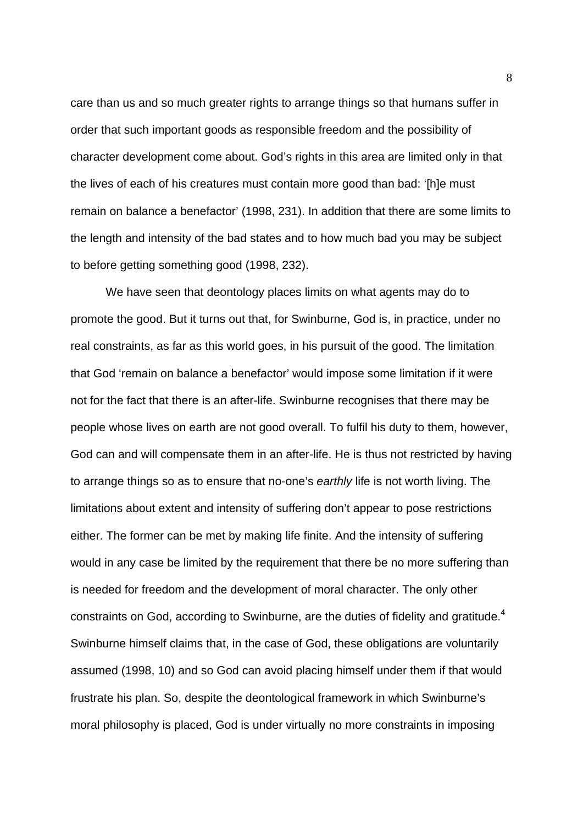care than us and so much greater rights to arrange things so that humans suffer in order that such important goods as responsible freedom and the possibility of character development come about. God's rights in this area are limited only in that the lives of each of his creatures must contain more good than bad: '[h]e must remain on balance a benefactor' (1998, 231). In addition that there are some limits to the length and intensity of the bad states and to how much bad you may be subject to before getting something good (1998, 232).

We have seen that deontology places limits on what agents may do to promote the good. But it turns out that, for Swinburne, God is, in practice, under no real constraints, as far as this world goes, in his pursuit of the good. The limitation that God 'remain on balance a benefactor' would impose some limitation if it were not for the fact that there is an after-life. Swinburne recognises that there may be people whose lives on earth are not good overall. To fulfil his duty to them, however, God can and will compensate them in an after-life. He is thus not restricted by having to arrange things so as to ensure that no-one's *earthly* life is not worth living. The limitations about extent and intensity of suffering don't appear to pose restrictions either. The former can be met by making life finite. And the intensity of suffering would in any case be limited by the requirement that there be no more suffering than is needed for freedom and the development of moral character. The only other constraints on God, according to Swinburne, are the duties of fidelity and gratitude.<sup>4</sup> Swinburne himself claims that, in the case of God, these obligations are voluntarily assumed (1998, 10) and so God can avoid placing himself under them if that would frustrate his plan. So, despite the deontological framework in which Swinburne's moral philosophy is placed, God is under virtually no more constraints in imposing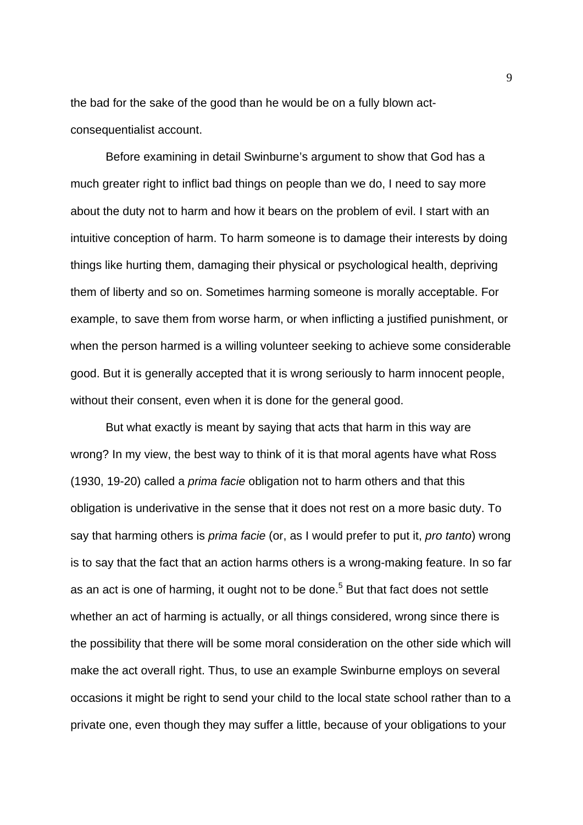the bad for the sake of the good than he would be on a fully blown actconsequentialist account.

Before examining in detail Swinburne's argument to show that God has a much greater right to inflict bad things on people than we do, I need to say more about the duty not to harm and how it bears on the problem of evil. I start with an intuitive conception of harm. To harm someone is to damage their interests by doing things like hurting them, damaging their physical or psychological health, depriving them of liberty and so on. Sometimes harming someone is morally acceptable. For example, to save them from worse harm, or when inflicting a justified punishment, or when the person harmed is a willing volunteer seeking to achieve some considerable good. But it is generally accepted that it is wrong seriously to harm innocent people, without their consent, even when it is done for the general good.

But what exactly is meant by saying that acts that harm in this way are wrong? In my view, the best way to think of it is that moral agents have what Ross (1930, 19-20) called a *prima facie* obligation not to harm others and that this obligation is underivative in the sense that it does not rest on a more basic duty. To say that harming others is *prima facie* (or, as I would prefer to put it, *pro tanto*) wrong is to say that the fact that an action harms others is a wrong-making feature. In so far as an act is one of harming, it ought not to be done.<sup>5</sup> But that fact does not settle whether an act of harming is actually, or all things considered, wrong since there is the possibility that there will be some moral consideration on the other side which will make the act overall right. Thus, to use an example Swinburne employs on several occasions it might be right to send your child to the local state school rather than to a private one, even though they may suffer a little, because of your obligations to your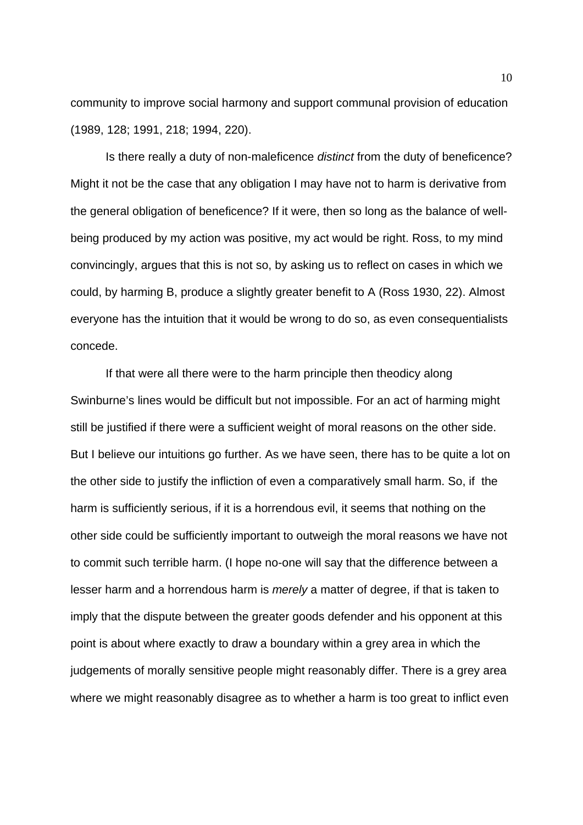community to improve social harmony and support communal provision of education (1989, 128; 1991, 218; 1994, 220).

Is there really a duty of non-maleficence *distinct* from the duty of beneficence? Might it not be the case that any obligation I may have not to harm is derivative from the general obligation of beneficence? If it were, then so long as the balance of wellbeing produced by my action was positive, my act would be right. Ross, to my mind convincingly, argues that this is not so, by asking us to reflect on cases in which we could, by harming B, produce a slightly greater benefit to A (Ross 1930, 22). Almost everyone has the intuition that it would be wrong to do so, as even consequentialists concede.

If that were all there were to the harm principle then theodicy along Swinburne's lines would be difficult but not impossible. For an act of harming might still be justified if there were a sufficient weight of moral reasons on the other side. But I believe our intuitions go further. As we have seen, there has to be quite a lot on the other side to justify the infliction of even a comparatively small harm. So, if the harm is sufficiently serious, if it is a horrendous evil, it seems that nothing on the other side could be sufficiently important to outweigh the moral reasons we have not to commit such terrible harm. (I hope no-one will say that the difference between a lesser harm and a horrendous harm is *merely* a matter of degree, if that is taken to imply that the dispute between the greater goods defender and his opponent at this point is about where exactly to draw a boundary within a grey area in which the judgements of morally sensitive people might reasonably differ. There is a grey area where we might reasonably disagree as to whether a harm is too great to inflict even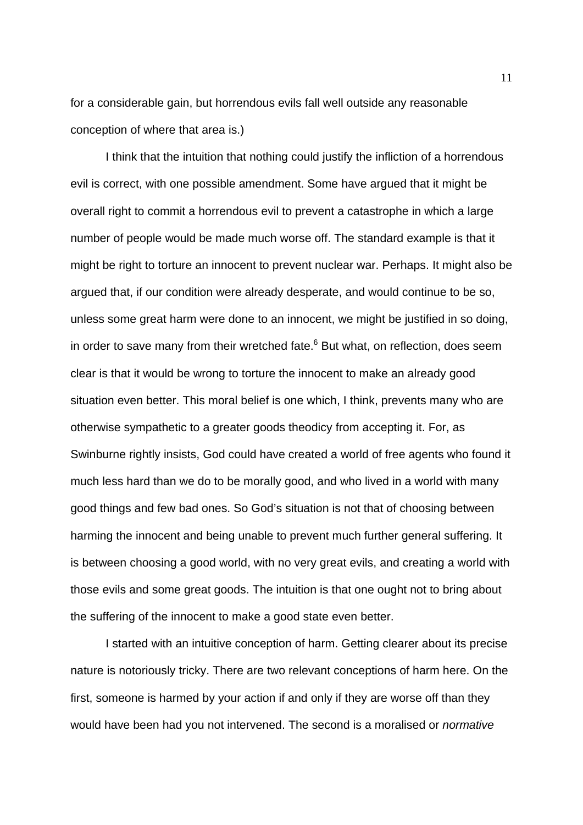for a considerable gain, but horrendous evils fall well outside any reasonable conception of where that area is.)

I think that the intuition that nothing could justify the infliction of a horrendous evil is correct, with one possible amendment. Some have argued that it might be overall right to commit a horrendous evil to prevent a catastrophe in which a large number of people would be made much worse off. The standard example is that it might be right to torture an innocent to prevent nuclear war. Perhaps. It might also be argued that, if our condition were already desperate, and would continue to be so, unless some great harm were done to an innocent, we might be justified in so doing, in order to save many from their wretched fate.<sup>6</sup> But what, on reflection, does seem clear is that it would be wrong to torture the innocent to make an already good situation even better. This moral belief is one which, I think, prevents many who are otherwise sympathetic to a greater goods theodicy from accepting it. For, as Swinburne rightly insists, God could have created a world of free agents who found it much less hard than we do to be morally good, and who lived in a world with many good things and few bad ones. So God's situation is not that of choosing between harming the innocent and being unable to prevent much further general suffering. It is between choosing a good world, with no very great evils, and creating a world with those evils and some great goods. The intuition is that one ought not to bring about the suffering of the innocent to make a good state even better.

I started with an intuitive conception of harm. Getting clearer about its precise nature is notoriously tricky. There are two relevant conceptions of harm here. On the first, someone is harmed by your action if and only if they are worse off than they would have been had you not intervened. The second is a moralised or *normative*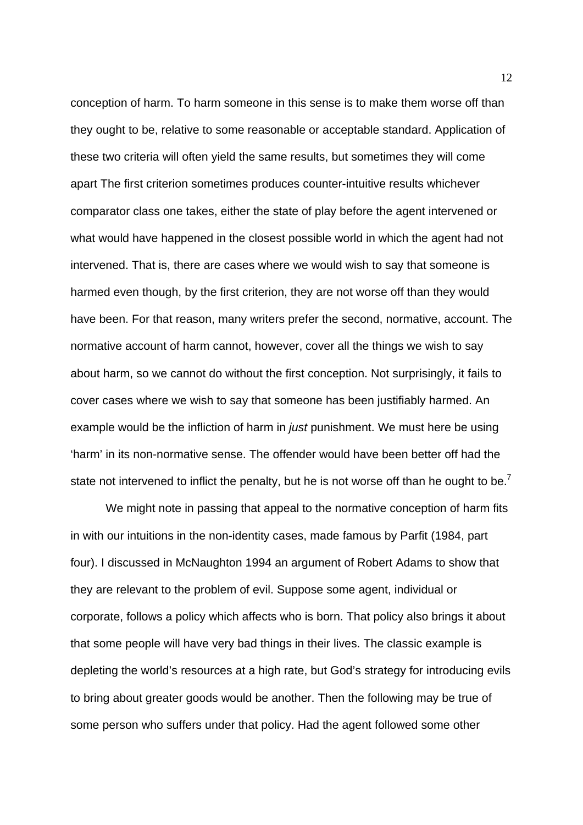conception of harm. To harm someone in this sense is to make them worse off than they ought to be, relative to some reasonable or acceptable standard. Application of these two criteria will often yield the same results, but sometimes they will come apart The first criterion sometimes produces counter-intuitive results whichever comparator class one takes, either the state of play before the agent intervened or what would have happened in the closest possible world in which the agent had not intervened. That is, there are cases where we would wish to say that someone is harmed even though, by the first criterion, they are not worse off than they would have been. For that reason, many writers prefer the second, normative, account. The normative account of harm cannot, however, cover all the things we wish to say about harm, so we cannot do without the first conception. Not surprisingly, it fails to cover cases where we wish to say that someone has been justifiably harmed. An example would be the infliction of harm in *just* punishment. We must here be using 'harm' in its non-normative sense. The offender would have been better off had the state not intervened to inflict the penalty, but he is not worse off than he ought to be.<sup>7</sup>

We might note in passing that appeal to the normative conception of harm fits in with our intuitions in the non-identity cases, made famous by Parfit (1984, part four). I discussed in McNaughton 1994 an argument of Robert Adams to show that they are relevant to the problem of evil. Suppose some agent, individual or corporate, follows a policy which affects who is born. That policy also brings it about that some people will have very bad things in their lives. The classic example is depleting the world's resources at a high rate, but God's strategy for introducing evils to bring about greater goods would be another. Then the following may be true of some person who suffers under that policy. Had the agent followed some other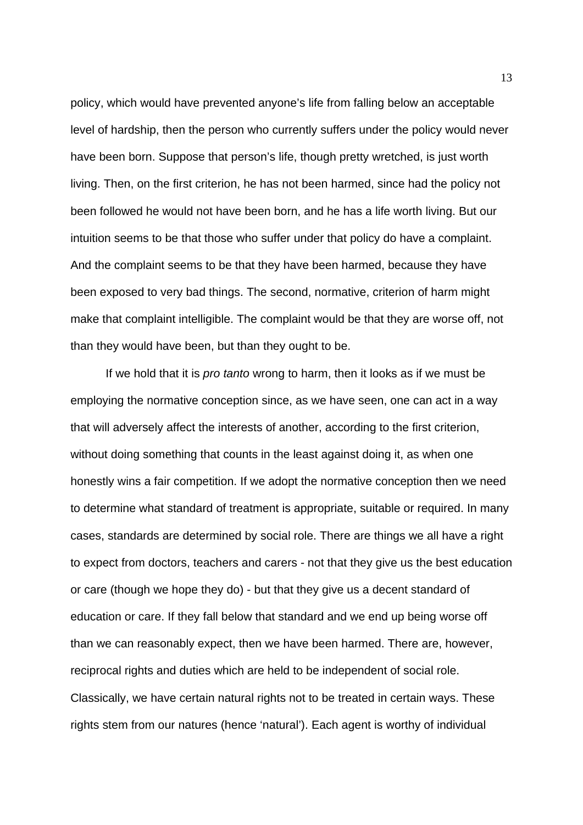policy, which would have prevented anyone's life from falling below an acceptable level of hardship, then the person who currently suffers under the policy would never have been born. Suppose that person's life, though pretty wretched, is just worth living. Then, on the first criterion, he has not been harmed, since had the policy not been followed he would not have been born, and he has a life worth living. But our intuition seems to be that those who suffer under that policy do have a complaint. And the complaint seems to be that they have been harmed, because they have been exposed to very bad things. The second, normative, criterion of harm might make that complaint intelligible. The complaint would be that they are worse off, not than they would have been, but than they ought to be.

If we hold that it is *pro tanto* wrong to harm, then it looks as if we must be employing the normative conception since, as we have seen, one can act in a way that will adversely affect the interests of another, according to the first criterion, without doing something that counts in the least against doing it, as when one honestly wins a fair competition. If we adopt the normative conception then we need to determine what standard of treatment is appropriate, suitable or required. In many cases, standards are determined by social role. There are things we all have a right to expect from doctors, teachers and carers - not that they give us the best education or care (though we hope they do) - but that they give us a decent standard of education or care. If they fall below that standard and we end up being worse off than we can reasonably expect, then we have been harmed. There are, however, reciprocal rights and duties which are held to be independent of social role. Classically, we have certain natural rights not to be treated in certain ways. These rights stem from our natures (hence 'natural'). Each agent is worthy of individual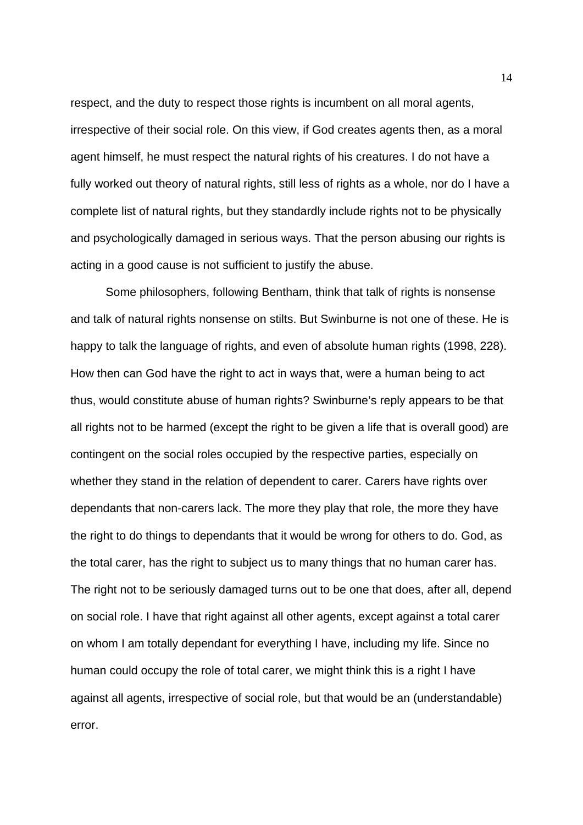respect, and the duty to respect those rights is incumbent on all moral agents, irrespective of their social role. On this view, if God creates agents then, as a moral agent himself, he must respect the natural rights of his creatures. I do not have a fully worked out theory of natural rights, still less of rights as a whole, nor do I have a complete list of natural rights, but they standardly include rights not to be physically and psychologically damaged in serious ways. That the person abusing our rights is acting in a good cause is not sufficient to justify the abuse.

Some philosophers, following Bentham, think that talk of rights is nonsense and talk of natural rights nonsense on stilts. But Swinburne is not one of these. He is happy to talk the language of rights, and even of absolute human rights (1998, 228). How then can God have the right to act in ways that, were a human being to act thus, would constitute abuse of human rights? Swinburne's reply appears to be that all rights not to be harmed (except the right to be given a life that is overall good) are contingent on the social roles occupied by the respective parties, especially on whether they stand in the relation of dependent to carer. Carers have rights over dependants that non-carers lack. The more they play that role, the more they have the right to do things to dependants that it would be wrong for others to do. God, as the total carer, has the right to subject us to many things that no human carer has. The right not to be seriously damaged turns out to be one that does, after all, depend on social role. I have that right against all other agents, except against a total carer on whom I am totally dependant for everything I have, including my life. Since no human could occupy the role of total carer, we might think this is a right I have against all agents, irrespective of social role, but that would be an (understandable) error.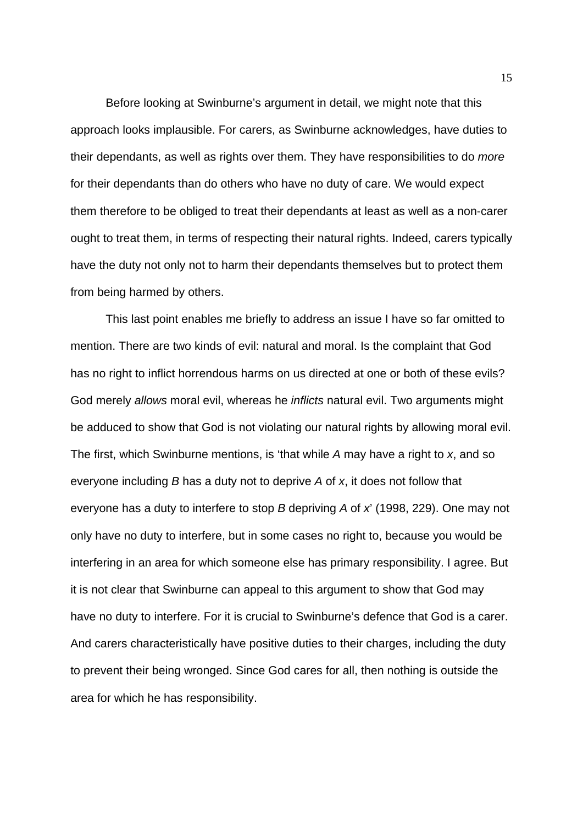Before looking at Swinburne's argument in detail, we might note that this approach looks implausible. For carers, as Swinburne acknowledges, have duties to their dependants, as well as rights over them. They have responsibilities to do *more* for their dependants than do others who have no duty of care. We would expect them therefore to be obliged to treat their dependants at least as well as a non-carer ought to treat them, in terms of respecting their natural rights. Indeed, carers typically have the duty not only not to harm their dependants themselves but to protect them from being harmed by others.

This last point enables me briefly to address an issue I have so far omitted to mention. There are two kinds of evil: natural and moral. Is the complaint that God has no right to inflict horrendous harms on us directed at one or both of these evils? God merely *allows* moral evil, whereas he *inflicts* natural evil. Two arguments might be adduced to show that God is not violating our natural rights by allowing moral evil. The first, which Swinburne mentions, is 'that while *A* may have a right to *x*, and so everyone including *B* has a duty not to deprive *A* of *x*, it does not follow that everyone has a duty to interfere to stop *B* depriving *A* of *x*' (1998, 229). One may not only have no duty to interfere, but in some cases no right to, because you would be interfering in an area for which someone else has primary responsibility. I agree. But it is not clear that Swinburne can appeal to this argument to show that God may have no duty to interfere. For it is crucial to Swinburne's defence that God is a carer. And carers characteristically have positive duties to their charges, including the duty to prevent their being wronged. Since God cares for all, then nothing is outside the area for which he has responsibility.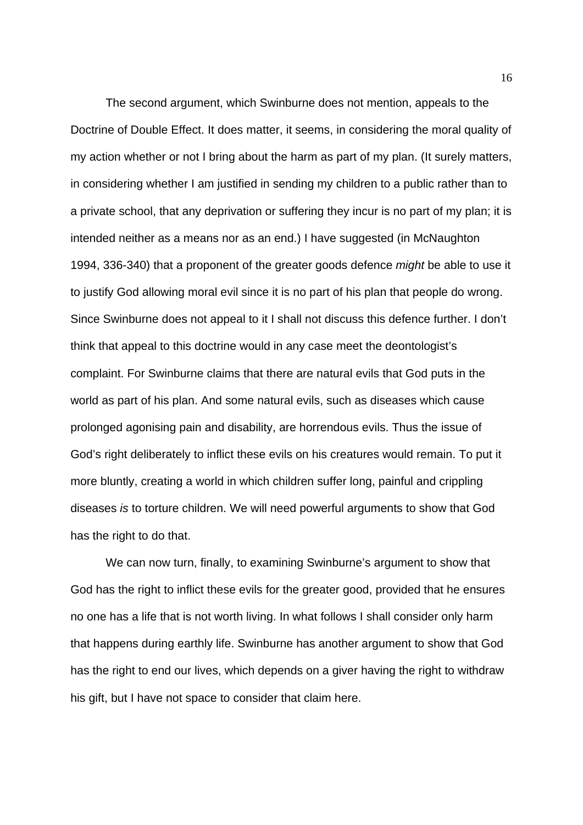The second argument, which Swinburne does not mention, appeals to the Doctrine of Double Effect. It does matter, it seems, in considering the moral quality of my action whether or not I bring about the harm as part of my plan. (It surely matters, in considering whether I am justified in sending my children to a public rather than to a private school, that any deprivation or suffering they incur is no part of my plan; it is intended neither as a means nor as an end.) I have suggested (in McNaughton 1994, 336-340) that a proponent of the greater goods defence *might* be able to use it to justify God allowing moral evil since it is no part of his plan that people do wrong. Since Swinburne does not appeal to it I shall not discuss this defence further. I don't think that appeal to this doctrine would in any case meet the deontologist's complaint. For Swinburne claims that there are natural evils that God puts in the world as part of his plan. And some natural evils, such as diseases which cause prolonged agonising pain and disability, are horrendous evils. Thus the issue of God's right deliberately to inflict these evils on his creatures would remain. To put it more bluntly, creating a world in which children suffer long, painful and crippling diseases *is* to torture children. We will need powerful arguments to show that God has the right to do that.

We can now turn, finally, to examining Swinburne's argument to show that God has the right to inflict these evils for the greater good, provided that he ensures no one has a life that is not worth living. In what follows I shall consider only harm that happens during earthly life. Swinburne has another argument to show that God has the right to end our lives, which depends on a giver having the right to withdraw his gift, but I have not space to consider that claim here.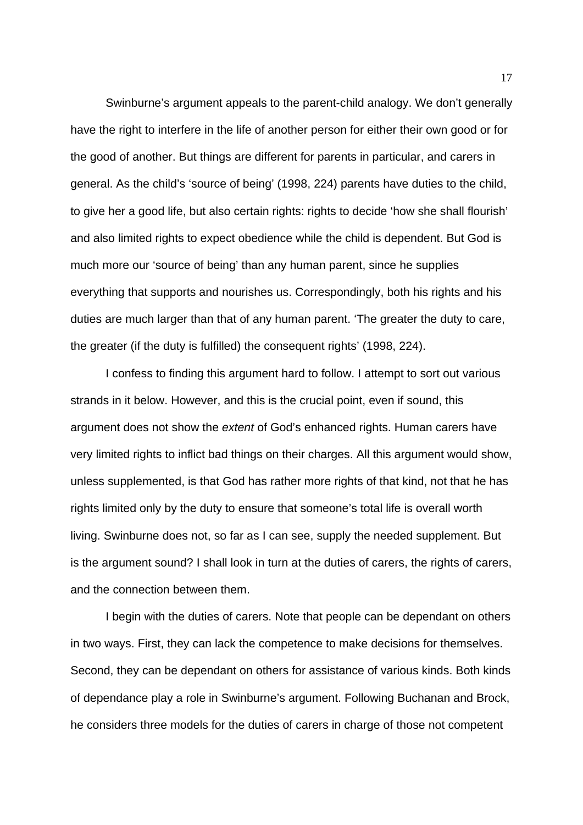Swinburne's argument appeals to the parent-child analogy. We don't generally have the right to interfere in the life of another person for either their own good or for the good of another. But things are different for parents in particular, and carers in general. As the child's 'source of being' (1998, 224) parents have duties to the child, to give her a good life, but also certain rights: rights to decide 'how she shall flourish' and also limited rights to expect obedience while the child is dependent. But God is much more our 'source of being' than any human parent, since he supplies everything that supports and nourishes us. Correspondingly, both his rights and his duties are much larger than that of any human parent. 'The greater the duty to care, the greater (if the duty is fulfilled) the consequent rights' (1998, 224).

I confess to finding this argument hard to follow. I attempt to sort out various strands in it below. However, and this is the crucial point, even if sound, this argument does not show the *extent* of God's enhanced rights. Human carers have very limited rights to inflict bad things on their charges. All this argument would show, unless supplemented, is that God has rather more rights of that kind, not that he has rights limited only by the duty to ensure that someone's total life is overall worth living. Swinburne does not, so far as I can see, supply the needed supplement. But is the argument sound? I shall look in turn at the duties of carers, the rights of carers, and the connection between them.

I begin with the duties of carers. Note that people can be dependant on others in two ways. First, they can lack the competence to make decisions for themselves. Second, they can be dependant on others for assistance of various kinds. Both kinds of dependance play a role in Swinburne's argument. Following Buchanan and Brock, he considers three models for the duties of carers in charge of those not competent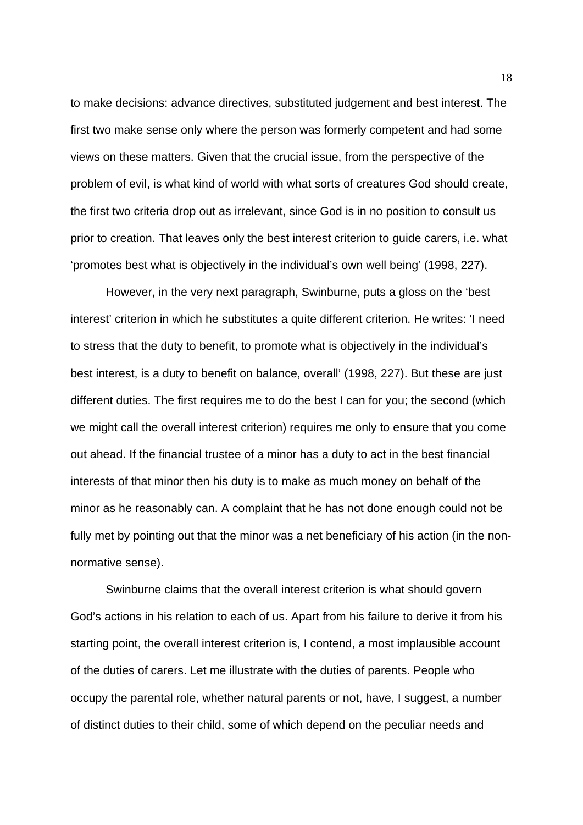to make decisions: advance directives, substituted judgement and best interest. The first two make sense only where the person was formerly competent and had some views on these matters. Given that the crucial issue, from the perspective of the problem of evil, is what kind of world with what sorts of creatures God should create, the first two criteria drop out as irrelevant, since God is in no position to consult us prior to creation. That leaves only the best interest criterion to guide carers, i.e. what 'promotes best what is objectively in the individual's own well being' (1998, 227).

However, in the very next paragraph, Swinburne, puts a gloss on the 'best interest' criterion in which he substitutes a quite different criterion. He writes: 'I need to stress that the duty to benefit, to promote what is objectively in the individual's best interest, is a duty to benefit on balance, overall' (1998, 227). But these are just different duties. The first requires me to do the best I can for you; the second (which we might call the overall interest criterion) requires me only to ensure that you come out ahead. If the financial trustee of a minor has a duty to act in the best financial interests of that minor then his duty is to make as much money on behalf of the minor as he reasonably can. A complaint that he has not done enough could not be fully met by pointing out that the minor was a net beneficiary of his action (in the nonnormative sense).

Swinburne claims that the overall interest criterion is what should govern God's actions in his relation to each of us. Apart from his failure to derive it from his starting point, the overall interest criterion is, I contend, a most implausible account of the duties of carers. Let me illustrate with the duties of parents. People who occupy the parental role, whether natural parents or not, have, I suggest, a number of distinct duties to their child, some of which depend on the peculiar needs and

18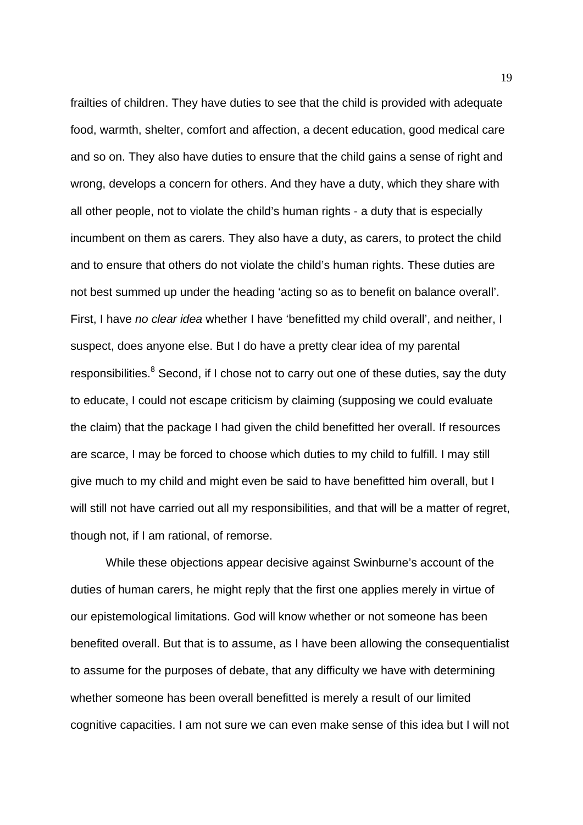frailties of children. They have duties to see that the child is provided with adequate food, warmth, shelter, comfort and affection, a decent education, good medical care and so on. They also have duties to ensure that the child gains a sense of right and wrong, develops a concern for others. And they have a duty, which they share with all other people, not to violate the child's human rights - a duty that is especially incumbent on them as carers. They also have a duty, as carers, to protect the child and to ensure that others do not violate the child's human rights. These duties are not best summed up under the heading 'acting so as to benefit on balance overall'. First, I have *no clear idea* whether I have 'benefitted my child overall', and neither, I suspect, does anyone else. But I do have a pretty clear idea of my parental responsibilities.<sup>8</sup> Second, if I chose not to carry out one of these duties, say the duty to educate, I could not escape criticism by claiming (supposing we could evaluate the claim) that the package I had given the child benefitted her overall. If resources are scarce, I may be forced to choose which duties to my child to fulfill. I may still give much to my child and might even be said to have benefitted him overall, but I will still not have carried out all my responsibilities, and that will be a matter of regret, though not, if I am rational, of remorse.

While these objections appear decisive against Swinburne's account of the duties of human carers, he might reply that the first one applies merely in virtue of our epistemological limitations. God will know whether or not someone has been benefited overall. But that is to assume, as I have been allowing the consequentialist to assume for the purposes of debate, that any difficulty we have with determining whether someone has been overall benefitted is merely a result of our limited cognitive capacities. I am not sure we can even make sense of this idea but I will not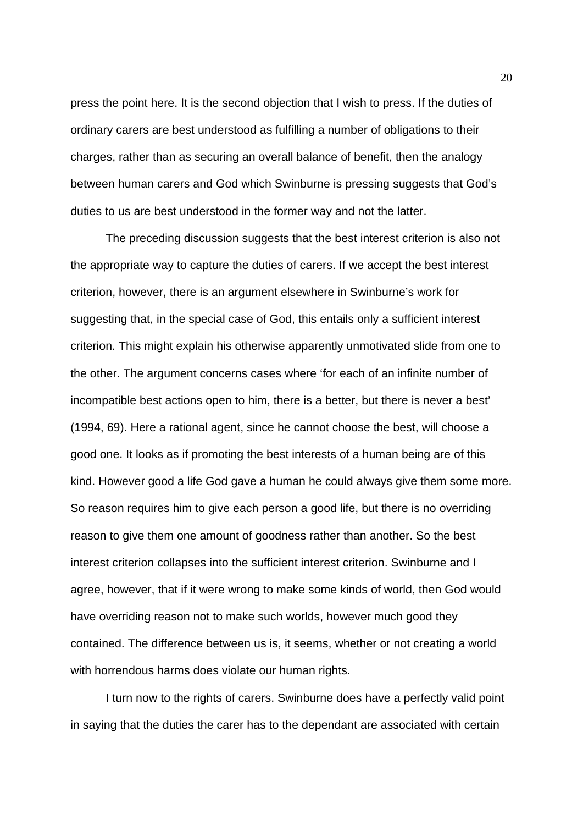press the point here. It is the second objection that I wish to press. If the duties of ordinary carers are best understood as fulfilling a number of obligations to their charges, rather than as securing an overall balance of benefit, then the analogy between human carers and God which Swinburne is pressing suggests that God's duties to us are best understood in the former way and not the latter.

The preceding discussion suggests that the best interest criterion is also not the appropriate way to capture the duties of carers. If we accept the best interest criterion, however, there is an argument elsewhere in Swinburne's work for suggesting that, in the special case of God, this entails only a sufficient interest criterion. This might explain his otherwise apparently unmotivated slide from one to the other. The argument concerns cases where 'for each of an infinite number of incompatible best actions open to him, there is a better, but there is never a best' (1994, 69). Here a rational agent, since he cannot choose the best, will choose a good one. It looks as if promoting the best interests of a human being are of this kind. However good a life God gave a human he could always give them some more. So reason requires him to give each person a good life, but there is no overriding reason to give them one amount of goodness rather than another. So the best interest criterion collapses into the sufficient interest criterion. Swinburne and I agree, however, that if it were wrong to make some kinds of world, then God would have overriding reason not to make such worlds, however much good they contained. The difference between us is, it seems, whether or not creating a world with horrendous harms does violate our human rights.

I turn now to the rights of carers. Swinburne does have a perfectly valid point in saying that the duties the carer has to the dependant are associated with certain

20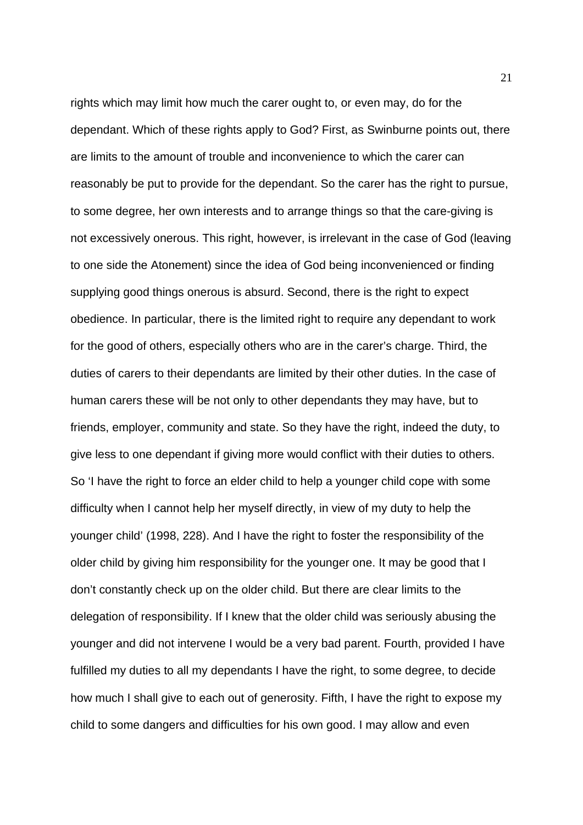rights which may limit how much the carer ought to, or even may, do for the dependant. Which of these rights apply to God? First, as Swinburne points out, there are limits to the amount of trouble and inconvenience to which the carer can reasonably be put to provide for the dependant. So the carer has the right to pursue, to some degree, her own interests and to arrange things so that the care-giving is not excessively onerous. This right, however, is irrelevant in the case of God (leaving to one side the Atonement) since the idea of God being inconvenienced or finding supplying good things onerous is absurd. Second, there is the right to expect obedience. In particular, there is the limited right to require any dependant to work for the good of others, especially others who are in the carer's charge. Third, the duties of carers to their dependants are limited by their other duties. In the case of human carers these will be not only to other dependants they may have, but to friends, employer, community and state. So they have the right, indeed the duty, to give less to one dependant if giving more would conflict with their duties to others. So 'I have the right to force an elder child to help a younger child cope with some difficulty when I cannot help her myself directly, in view of my duty to help the younger child' (1998, 228). And I have the right to foster the responsibility of the older child by giving him responsibility for the younger one. It may be good that I don't constantly check up on the older child. But there are clear limits to the delegation of responsibility. If I knew that the older child was seriously abusing the younger and did not intervene I would be a very bad parent. Fourth, provided I have fulfilled my duties to all my dependants I have the right, to some degree, to decide how much I shall give to each out of generosity. Fifth, I have the right to expose my child to some dangers and difficulties for his own good. I may allow and even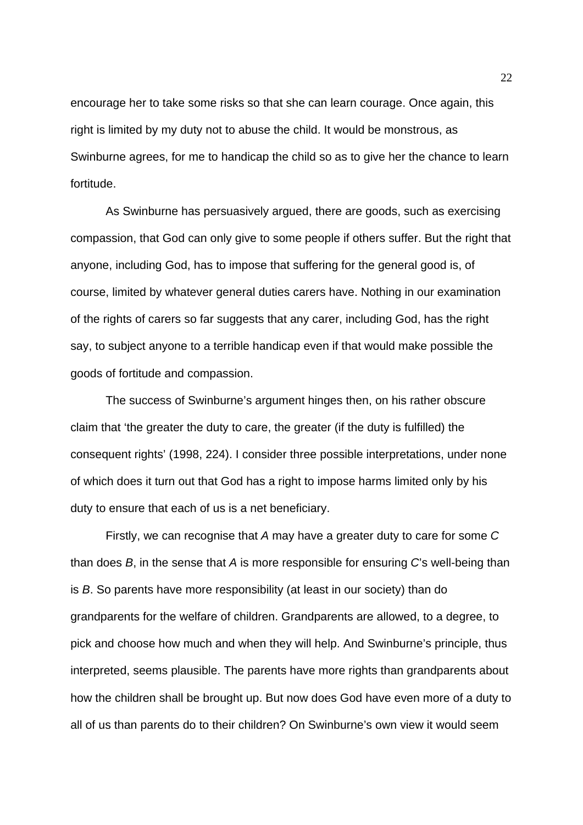encourage her to take some risks so that she can learn courage. Once again, this right is limited by my duty not to abuse the child. It would be monstrous, as Swinburne agrees, for me to handicap the child so as to give her the chance to learn fortitude.

As Swinburne has persuasively argued, there are goods, such as exercising compassion, that God can only give to some people if others suffer. But the right that anyone, including God, has to impose that suffering for the general good is, of course, limited by whatever general duties carers have. Nothing in our examination of the rights of carers so far suggests that any carer, including God, has the right say, to subject anyone to a terrible handicap even if that would make possible the goods of fortitude and compassion.

The success of Swinburne's argument hinges then, on his rather obscure claim that 'the greater the duty to care, the greater (if the duty is fulfilled) the consequent rights' (1998, 224). I consider three possible interpretations, under none of which does it turn out that God has a right to impose harms limited only by his duty to ensure that each of us is a net beneficiary.

Firstly, we can recognise that *A* may have a greater duty to care for some *C* than does *B*, in the sense that *A* is more responsible for ensuring *C*'s well-being than is *B*. So parents have more responsibility (at least in our society) than do grandparents for the welfare of children. Grandparents are allowed, to a degree, to pick and choose how much and when they will help. And Swinburne's principle, thus interpreted, seems plausible. The parents have more rights than grandparents about how the children shall be brought up. But now does God have even more of a duty to all of us than parents do to their children? On Swinburne's own view it would seem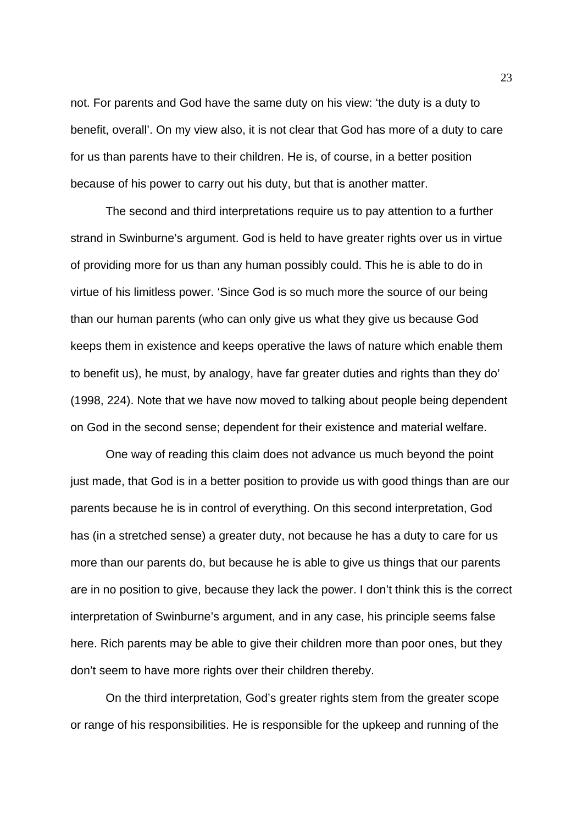not. For parents and God have the same duty on his view: 'the duty is a duty to benefit, overall'. On my view also, it is not clear that God has more of a duty to care for us than parents have to their children. He is, of course, in a better position because of his power to carry out his duty, but that is another matter.

The second and third interpretations require us to pay attention to a further strand in Swinburne's argument. God is held to have greater rights over us in virtue of providing more for us than any human possibly could. This he is able to do in virtue of his limitless power. 'Since God is so much more the source of our being than our human parents (who can only give us what they give us because God keeps them in existence and keeps operative the laws of nature which enable them to benefit us), he must, by analogy, have far greater duties and rights than they do' (1998, 224). Note that we have now moved to talking about people being dependent on God in the second sense; dependent for their existence and material welfare.

One way of reading this claim does not advance us much beyond the point just made, that God is in a better position to provide us with good things than are our parents because he is in control of everything. On this second interpretation, God has (in a stretched sense) a greater duty, not because he has a duty to care for us more than our parents do, but because he is able to give us things that our parents are in no position to give, because they lack the power. I don't think this is the correct interpretation of Swinburne's argument, and in any case, his principle seems false here. Rich parents may be able to give their children more than poor ones, but they don't seem to have more rights over their children thereby.

On the third interpretation, God's greater rights stem from the greater scope or range of his responsibilities. He is responsible for the upkeep and running of the

23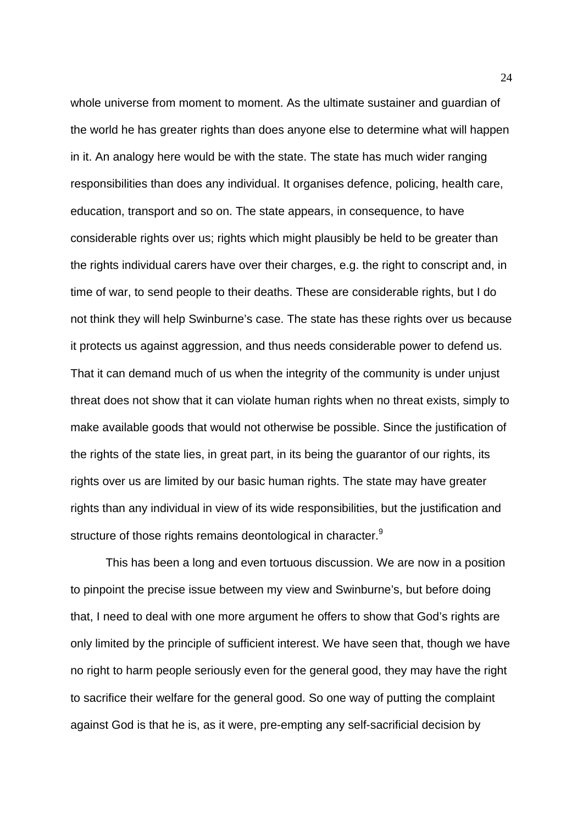whole universe from moment to moment. As the ultimate sustainer and guardian of the world he has greater rights than does anyone else to determine what will happen in it. An analogy here would be with the state. The state has much wider ranging responsibilities than does any individual. It organises defence, policing, health care, education, transport and so on. The state appears, in consequence, to have considerable rights over us; rights which might plausibly be held to be greater than the rights individual carers have over their charges, e.g. the right to conscript and, in time of war, to send people to their deaths. These are considerable rights, but I do not think they will help Swinburne's case. The state has these rights over us because it protects us against aggression, and thus needs considerable power to defend us. That it can demand much of us when the integrity of the community is under unjust threat does not show that it can violate human rights when no threat exists, simply to make available goods that would not otherwise be possible. Since the justification of the rights of the state lies, in great part, in its being the guarantor of our rights, its rights over us are limited by our basic human rights. The state may have greater rights than any individual in view of its wide responsibilities, but the justification and structure of those rights remains deontological in character.<sup>9</sup>

This has been a long and even tortuous discussion. We are now in a position to pinpoint the precise issue between my view and Swinburne's, but before doing that, I need to deal with one more argument he offers to show that God's rights are only limited by the principle of sufficient interest. We have seen that, though we have no right to harm people seriously even for the general good, they may have the right to sacrifice their welfare for the general good. So one way of putting the complaint against God is that he is, as it were, pre-empting any self-sacrificial decision by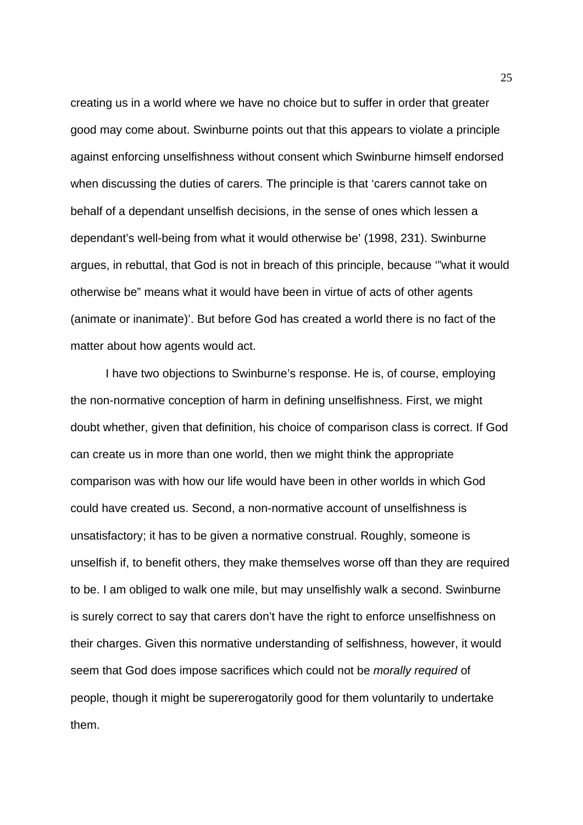creating us in a world where we have no choice but to suffer in order that greater good may come about. Swinburne points out that this appears to violate a principle against enforcing unselfishness without consent which Swinburne himself endorsed when discussing the duties of carers. The principle is that 'carers cannot take on behalf of a dependant unselfish decisions, in the sense of ones which lessen a dependant's well-being from what it would otherwise be' (1998, 231). Swinburne argues, in rebuttal, that God is not in breach of this principle, because '"what it would otherwise be" means what it would have been in virtue of acts of other agents (animate or inanimate)'. But before God has created a world there is no fact of the matter about how agents would act.

I have two objections to Swinburne's response. He is, of course, employing the non-normative conception of harm in defining unselfishness. First, we might doubt whether, given that definition, his choice of comparison class is correct. If God can create us in more than one world, then we might think the appropriate comparison was with how our life would have been in other worlds in which God could have created us. Second, a non-normative account of unselfishness is unsatisfactory; it has to be given a normative construal. Roughly, someone is unselfish if, to benefit others, they make themselves worse off than they are required to be. I am obliged to walk one mile, but may unselfishly walk a second. Swinburne is surely correct to say that carers don't have the right to enforce unselfishness on their charges. Given this normative understanding of selfishness, however, it would seem that God does impose sacrifices which could not be *morally required* of people, though it might be supererogatorily good for them voluntarily to undertake them.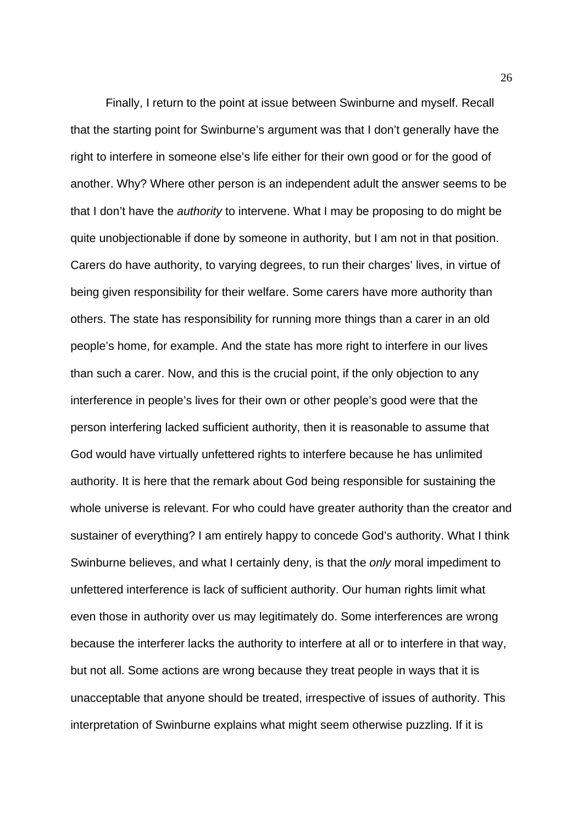Finally, I return to the point at issue between Swinburne and myself. Recall that the starting point for Swinburne's argument was that I don't generally have the right to interfere in someone else's life either for their own good or for the good of another. Why? Where other person is an independent adult the answer seems to be that I don't have the *authority* to intervene. What I may be proposing to do might be quite unobjectionable if done by someone in authority, but I am not in that position. Carers do have authority, to varying degrees, to run their charges' lives, in virtue of being given responsibility for their welfare. Some carers have more authority than others. The state has responsibility for running more things than a carer in an old people's home, for example. And the state has more right to interfere in our lives than such a carer. Now, and this is the crucial point, if the only objection to any interference in people's lives for their own or other people's good were that the person interfering lacked sufficient authority, then it is reasonable to assume that God would have virtually unfettered rights to interfere because he has unlimited authority. It is here that the remark about God being responsible for sustaining the whole universe is relevant. For who could have greater authority than the creator and sustainer of everything? I am entirely happy to concede God's authority. What I think Swinburne believes, and what I certainly deny, is that the *only* moral impediment to unfettered interference is lack of sufficient authority. Our human rights limit what even those in authority over us may legitimately do. Some interferences are wrong because the interferer lacks the authority to interfere at all or to interfere in that way, but not all. Some actions are wrong because they treat people in ways that it is unacceptable that anyone should be treated, irrespective of issues of authority. This interpretation of Swinburne explains what might seem otherwise puzzling. If it is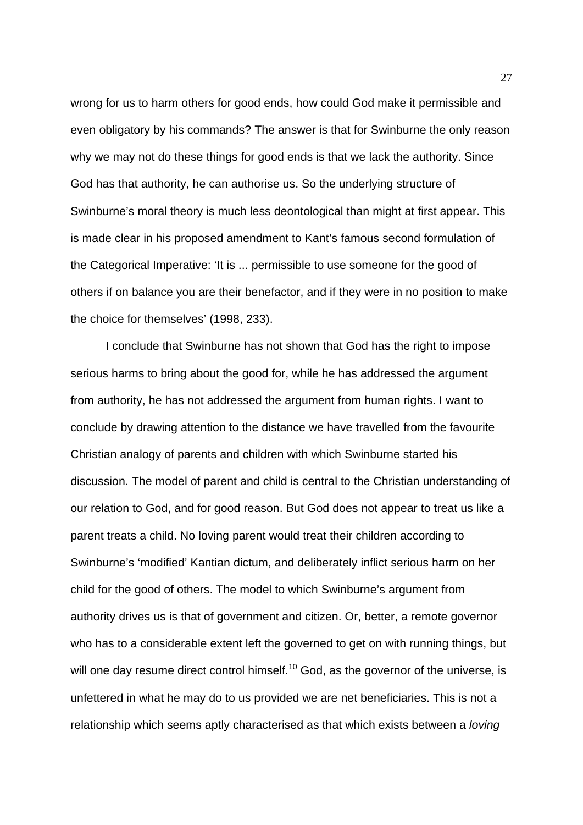wrong for us to harm others for good ends, how could God make it permissible and even obligatory by his commands? The answer is that for Swinburne the only reason why we may not do these things for good ends is that we lack the authority. Since God has that authority, he can authorise us. So the underlying structure of Swinburne's moral theory is much less deontological than might at first appear. This is made clear in his proposed amendment to Kant's famous second formulation of the Categorical Imperative: 'It is ... permissible to use someone for the good of others if on balance you are their benefactor, and if they were in no position to make the choice for themselves' (1998, 233).

I conclude that Swinburne has not shown that God has the right to impose serious harms to bring about the good for, while he has addressed the argument from authority, he has not addressed the argument from human rights. I want to conclude by drawing attention to the distance we have travelled from the favourite Christian analogy of parents and children with which Swinburne started his discussion. The model of parent and child is central to the Christian understanding of our relation to God, and for good reason. But God does not appear to treat us like a parent treats a child. No loving parent would treat their children according to Swinburne's 'modified' Kantian dictum, and deliberately inflict serious harm on her child for the good of others. The model to which Swinburne's argument from authority drives us is that of government and citizen. Or, better, a remote governor who has to a considerable extent left the governed to get on with running things, but will one day resume direct control himself.<sup>10</sup> God, as the governor of the universe, is unfettered in what he may do to us provided we are net beneficiaries. This is not a relationship which seems aptly characterised as that which exists between a *loving*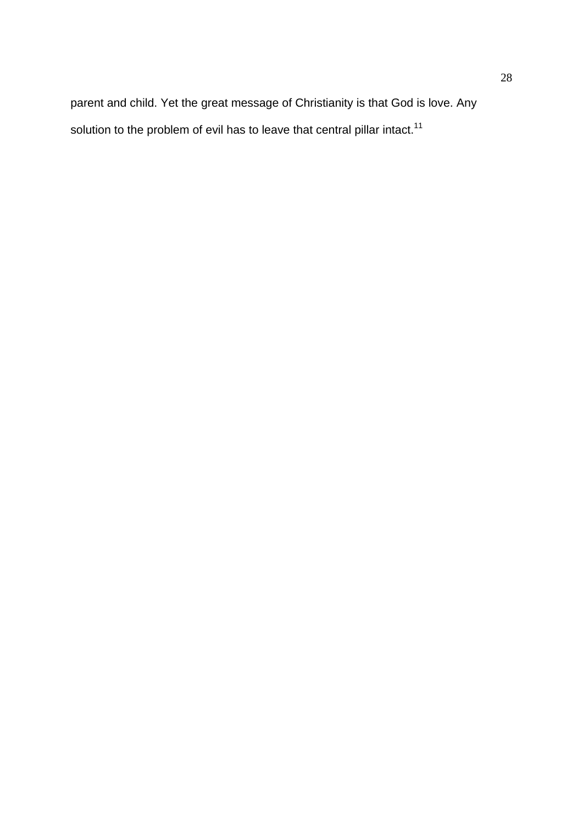parent and child. Yet the great message of Christianity is that God is love. Any solution to the problem of evil has to leave that central pillar intact.<sup>11</sup>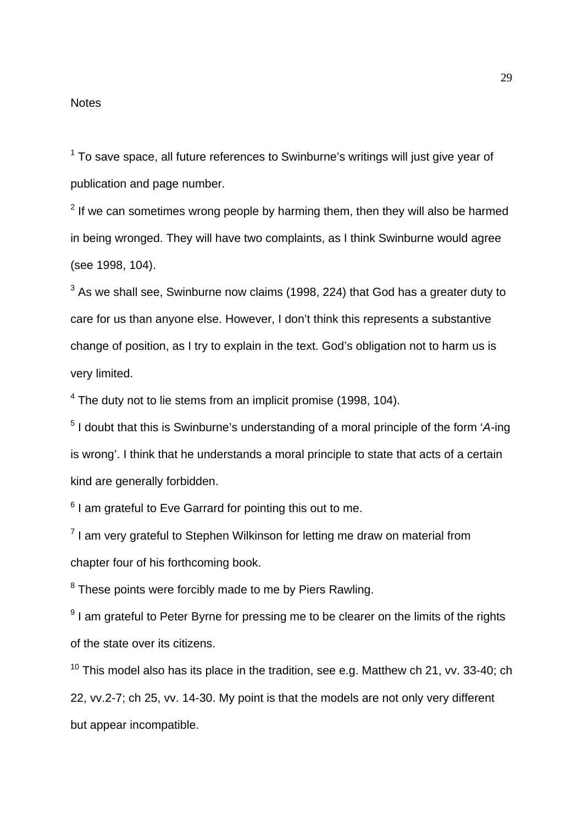## **Notes**

 $1$  To save space, all future references to Swinburne's writings will just give year of publication and page number.

 $2$  If we can sometimes wrong people by harming them, then they will also be harmed in being wronged. They will have two complaints, as I think Swinburne would agree (see 1998, 104).

 $3$  As we shall see, Swinburne now claims (1998, 224) that God has a greater duty to care for us than anyone else. However, I don't think this represents a substantive change of position, as I try to explain in the text. God's obligation not to harm us is very limited.

 $4$  The duty not to lie stems from an implicit promise (1998, 104).

5 I doubt that this is Swinburne's understanding of a moral principle of the form '*A-*ing is wrong'. I think that he understands a moral principle to state that acts of a certain kind are generally forbidden.

 $6$  I am grateful to Eve Garrard for pointing this out to me.

 $<sup>7</sup>$  I am very grateful to Stephen Wilkinson for letting me draw on material from</sup> chapter four of his forthcoming book.

<sup>8</sup> These points were forcibly made to me by Piers Rawling.

 $9$  I am grateful to Peter Byrne for pressing me to be clearer on the limits of the rights of the state over its citizens.

 $10$  This model also has its place in the tradition, see e.g. Matthew ch 21, vv. 33-40; ch 22, vv.2-7; ch 25, vv. 14-30. My point is that the models are not only very different but appear incompatible.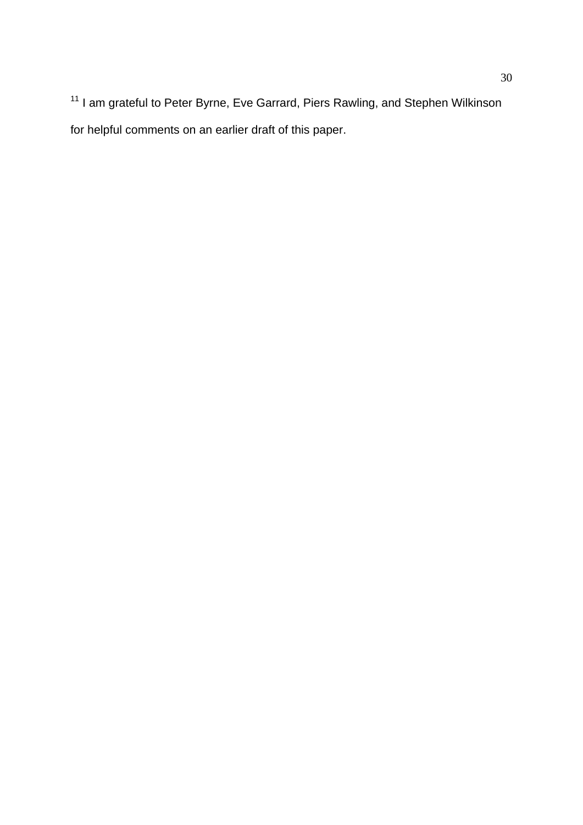<sup>11</sup> I am grateful to Peter Byrne, Eve Garrard, Piers Rawling, and Stephen Wilkinson for helpful comments on an earlier draft of this paper.